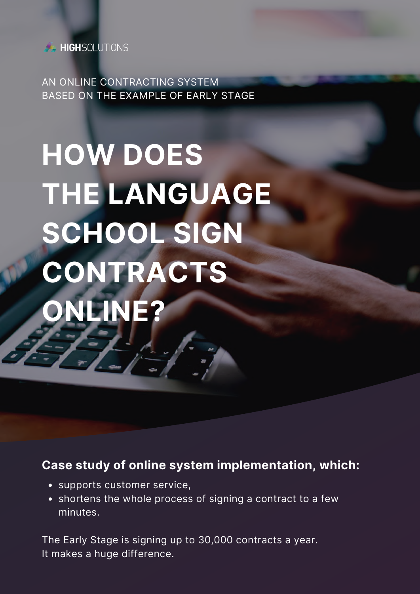

AN ONLINE CONTRACTING SYSTEM BASED ON THE EXAMPLE OF EARLY STAGE

# **HOW DOES THE LANGUAGE SCHOOL SIGN CONTRACTS ONLINE?**

#### **Case study of online system implementation, which:**

- supports customer service,
- shortens the whole process of signing a contract to a few minutes.

The Early Stage is signing up to 30,000 contracts a year. It makes a huge difference.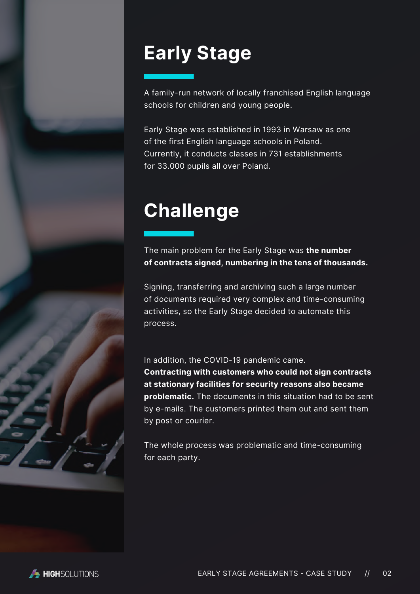### **Early Stage**

A family-run network of locally franchised English language schools for children and young people.

Early Stage was established in 1993 in Warsaw as one of the first English language schools in Poland. Currently, it conducts classes in 731 establishments for 33.000 pupils all over Poland.

### **Challenge**

The main problem for the Early Stage was **the number of contracts signed, numbering in the tens of thousands.**

Signing, transferring and archiving such a large number of documents required very complex and time-consuming activities, so the Early Stage decided to automate this process.

In addition, the COVID-19 pandemic came. **Contracting with customers who could not sign contracts at stationary facilities for security reasons also became problematic.** The documents in this situation had to be sent by e-mails. The customers printed them out and sent them by post or courier.

The whole process was problematic and time-consuming for each party.

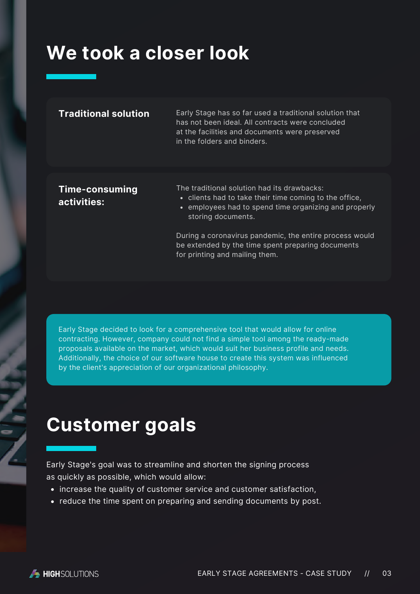#### **We took a closer look**

#### Early Stage has so far used a traditional solution that has not been ideal. All contracts were concluded at the facilities and documents were preserved in the folders and binders. **Traditional solution**

#### **Time-consuming activities:**

The traditional solution had its drawbacks:

- clients had to take their time coming to the office,
- employees had to spend time organizing and properly storing documents.

During a coronavirus pandemic, the entire process would be extended by the time spent preparing documents for printing and mailing them.

Early Stage decided to look for a comprehensive tool that would allow for online contracting. However, company could not find a simple tool among the ready-made proposals available on the market, which would suit her business profile and needs. Additionally, the choice of our software house to create this system was influenced by the client's appreciation of our organizational philosophy.

#### **Customer goals**

Early Stage's goal was to streamline and shorten the signing process as quickly as possible, which would allow:

- increase the quality of customer service and customer satisfaction,
- reduce the time spent on preparing and sending documents by post.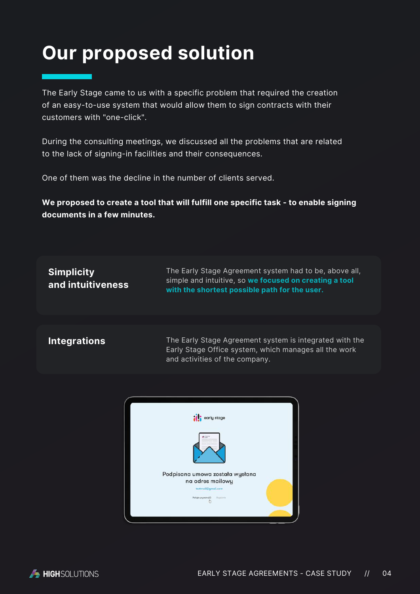#### **Our proposed solution**

The Early Stage came to us with a specific problem that required the creation of an easy-to-use system that would allow them to sign contracts with their customers with "one-click".

During the consulting meetings, we discussed all the problems that are related to the lack of signing-in facilities and their consequences.

One of them was the decline in the number of clients served.

**We proposed to create a tool that will fulfill one specific task - to enable signing documents in a few minutes.**

| <b>Simplicity</b><br>and intuitiveness | The Early Stage Agreement system had to be, above all,<br>simple and intuitive, so we focused on creating a tool<br>with the shortest possible path for the user. |
|----------------------------------------|-------------------------------------------------------------------------------------------------------------------------------------------------------------------|
|                                        |                                                                                                                                                                   |

**Integrations**

The Early Stage Agreement system is integrated with the Early Stage Office system, which manages all the work and activities of the company.



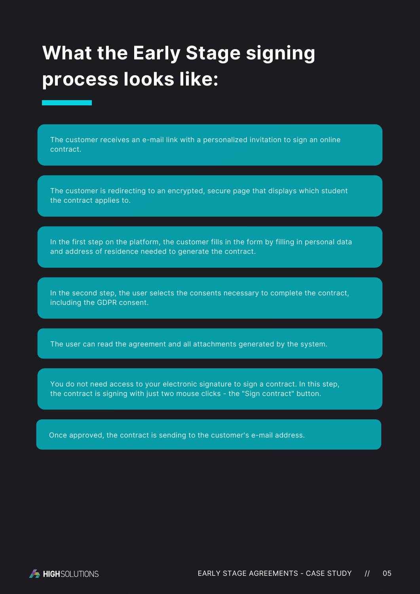### **What the Early Stage signing process looks like:**

The customer receives an e-mail link with a personalized invitation to sign an online contract.

The customer is redirecting to an encrypted, secure page that displays which student the contract applies to.

In the first step on the platform, the customer fills in the form by filling in personal data and address of residence needed to generate the contract.

In the second step, the user selects the consents necessary to complete the contract, including the GDPR consent.

The user can read the agreement and all attachments generated by the system.

You do not need access to your electronic signature to sign a contract. In this step, the contract is signing with just two mouse clicks - the "Sign contract" button.

Once approved, the contract is sending to the customer's e-mail address.

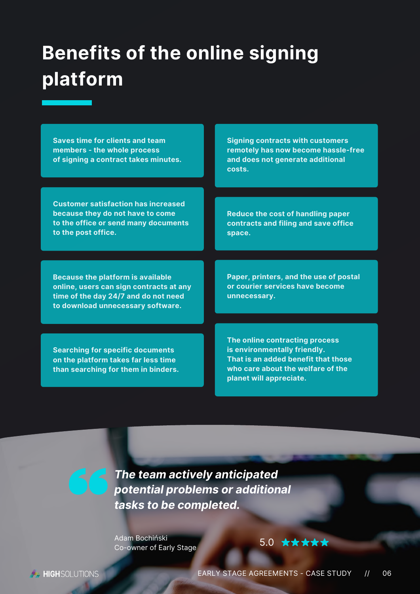### **Benefits of the online signing platform**

**Saves time for clients and team members - the whole process of signing a contract takes minutes.**

**Customer satisfaction has increased because they do not have to come to the office or send many documents to the post office.**

**Because the platform is available online, users can sign contracts at any time of the day 24/7 and do not need to download unnecessary software.**

**Searching for specific documents on the platform takes far less time than searching for them in binders.** **Signing contracts with customers remotely has now become hassle-free and does not generate additional costs.**

**Reduce the cost of handling paper contracts and filing and save office space.**

**Paper, printers, and the use of postal or courier services have become unnecessary.**

**The online contracting process is environmentally friendly. That is an added benefit that those who care about the welfare of the planet will appreciate.**

*The team actively anticipated potential problems or additional tasks to be completed.*

Adam Bochiński Co-owner of Early Stage

[5.0](https://clutch.co/profile/highsolutions#reviews) \*\*\*\*\*

**A HIGH** SOLUTIONS

EARLY STAGE AGREEMENTS - CASE STUDY // 06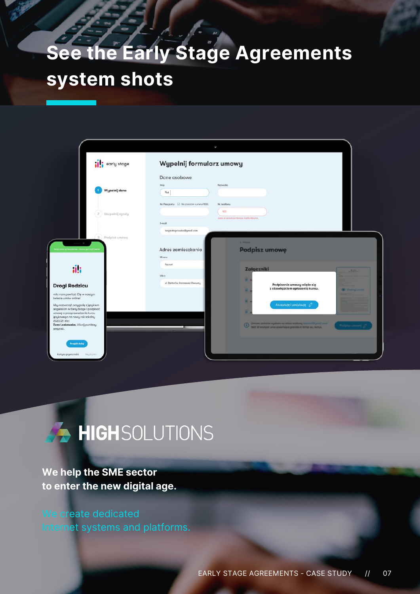# **See the Early Stage Agreements system shots**

| <b>ill</b> early stage                                                                                 | Wypelnij formularz umowy                   |                                                                             |  |
|--------------------------------------------------------------------------------------------------------|--------------------------------------------|-----------------------------------------------------------------------------|--|
|                                                                                                        | Dane osobowe                               |                                                                             |  |
| Wypełnij dane                                                                                          | India<br>Piot                              | Nazwisko                                                                    |  |
|                                                                                                        | Nr. Pascportu   Na postodom numeru PESEL   | Nr. taláfonu                                                                |  |
| $(2)$ Uzupelnij zgody                                                                                  |                                            | 123<br>Jum at accompaniency matticipanis.                                   |  |
|                                                                                                        | E-mail<br>longtestagnieszka@gmail.com      |                                                                             |  |
| $\left(3\right)$ Podpinz umowę                                                                         |                                            | d Winner                                                                    |  |
|                                                                                                        | Adres zamieszkania<br>Miasto               | <b>Podpisz umowę</b>                                                        |  |
| ili                                                                                                    | Poznań                                     | Załączniki                                                                  |  |
|                                                                                                        | Ulica<br>ul. Stefanów Barczewski Pierwszy. | ٠                                                                           |  |
| <b>Drogi Rodzicu</b><br>milo nam powitač Cię w naszym                                                  |                                            | Podpisanie umowy wiąże się<br>z obowiązkiem opłacenia kursu.<br>×           |  |
| świecie umów online!<br>Aby rozpocząć przygodę z językiem                                              |                                            | ٠<br>Akceptuję i podpisuję /                                                |  |
| angielskim w Early Stage i podpisoć<br>umowe o przeprowadzenie kursu<br>językowego na nowy rok szkolny |                                            |                                                                             |  |
| 2020/21 dla:<br>Zuza Laskowska, kliknij poniższy<br>przycisk.                                          |                                            | <sup>2</sup> Velta al voluppo supriorio en adres moltong testimological com |  |
| Przejdż dalej                                                                                          |                                            |                                                                             |  |
| Polityko prywotnośći<br><b>Negolarok</b>                                                               |                                            |                                                                             |  |



#### **We help the SME sector to enter the new digital age.**

We create dedicated Internet systems and platforms.